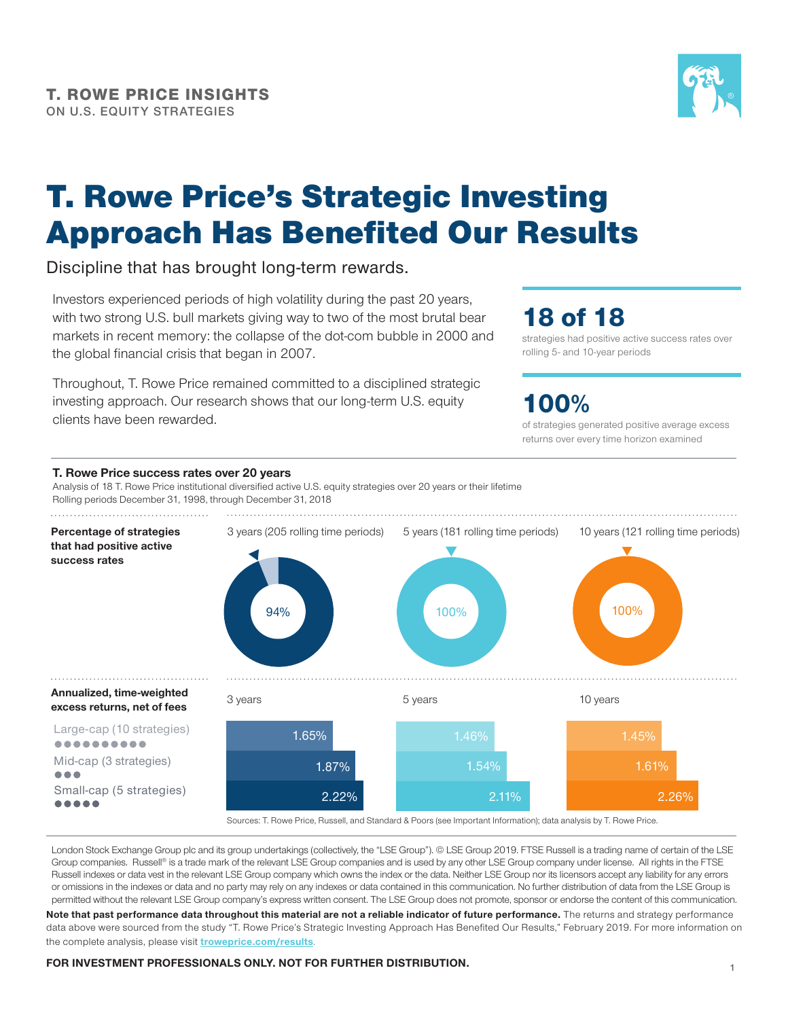

# T. Rowe Price's Strategic Investing Approach Has Benefited Our Results

### Discipline that has brought long-term rewards.

Investors experienced periods of high volatility during the past 20 years, with two strong U.S. bull markets giving way to two of the most brutal bear markets in recent memory: the collapse of the dot-com bubble in 2000 and the global financial crisis that began in 2007.

Throughout, T. Rowe Price remained committed to a disciplined strategic investing approach. Our research shows that our long-term U.S. equity clients have been rewarded.

## 18 of 18

strategies had positive active success rates over rolling 5‑ and 10‑year periods

### 100%

of strategies generated positive average excess returns over every time horizon examined



London Stock Exchange Group plc and its group undertakings (collectively, the "LSE Group"). @ LSE Group 2019. FTSE Russell is a trading name of certain of the LSE Group companies. Russell® is a trade mark of the relevant LSE Group companies and is used by any other LSE Group company under license. All rights in the FTSE Russell indexes or data vest in the relevant LSE Group company which owns the index or the data. Neither LSE Group nor its licensors accept any liability for any errors or omissions in the indexes or data and no party may rely on any indexes or data contained in this communication. No further distribution of data from the LSE Group is permitted without the relevant LSE Group company's express written consent. The LSE Group does not promote, sponsor or endorse the content of this communication.

Note that past performance data throughout this material are not a reliable indicator of future performance. The returns and strategy performance data above were sourced from the study "T. Rowe Price's Strategic Investing Approach Has Benefited Our Results," February 2019. For more information on the complete analysis, please visit **troweprice.com/results**.

#### **FOR INVESTMENT PROFESSIONALS ONLY. NOT FOR FURTHER DISTRIBUTION.**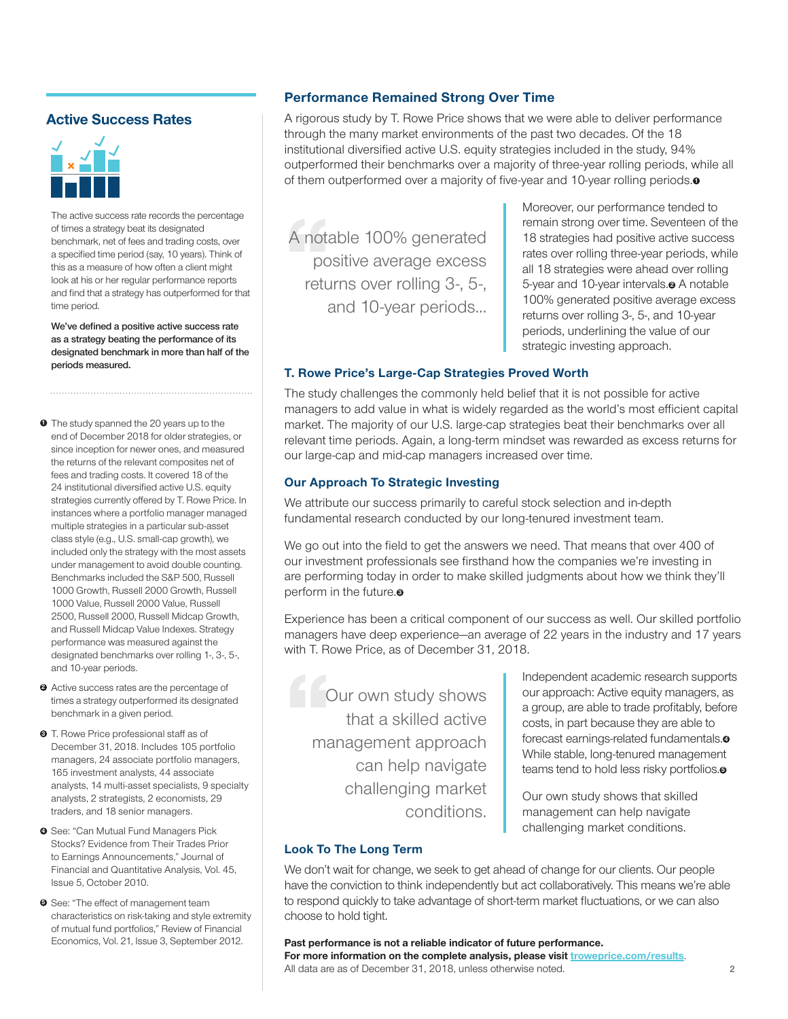#### **Active Success Rates**



The active success rate records the percentage of times a strategy beat its designated benchmark, net of fees and trading costs, over a specified time period (say, 10 years). Think of this as a measure of how often a client might look at his or her regular performance reports and find that a strategy has outperformed for that time period.

**We've defined a positive active success rate as a strategy beating the performance of its designated benchmark in more than half of the periods measured.** 

- **0** The study spanned the 20 years up to the end of December 2018 for older strategies, or since inception for newer ones, and measured the returns of the relevant composites net of fees and trading costs. It covered 18 of the 24 institutional diversified active U.S. equity strategies currently offered by T. Rowe Price. In instances where a portfolio manager managed multiple strategies in a particular sub‑asset class style (e.g., U.S. small-cap growth), we included only the strategy with the most assets under management to avoid double counting. Benchmarks included the S&P 500, Russell 1000 Growth, Russell 2000 Growth, Russell 1000 Value, Russell 2000 Value, Russell 2500, Russell 2000, Russell Midcap Growth, and Russell Midcap Value Indexes. Strategy performance was measured against the designated benchmarks over rolling 1‑, 3‑, 5‑, and 10‑year periods.
- Active success rates are the percentage of **2** times a strategy outperformed its designated benchmark in a given period.
- T. Rowe Price professional staff as of **3** December 31, 2018. Includes 105 portfolio managers, 24 associate portfolio managers, 165 investment analysts, 44 associate analysts, 14 multi-asset specialists, 9 specialty analysts, 2 strategists, 2 economists, 29 traders, and 18 senior managers.
- **9** See: "Can Mutual Fund Managers Pick Stocks? Evidence from Their Trades Prior to Earnings Announcements," Journal of Financial and Quantitative Analysis, Vol. 45, Issue 5, October 2010.
- **9** See: "The effect of management team characteristics on risk-taking and style extremity of mutual fund portfolios," Review of Financial Economics, Vol. 21, Issue 3, September 2012.

#### **Performance Remained Strong Over Time**

A rigorous study by T. Rowe Price shows that we were able to deliver performance through the many market environments of the past two decades. Of the 18 institutional diversified active U.S. equity strategies included in the study, 94% outperformed their benchmarks over a majority of three-year rolling periods, while all of them outperformed over a majority of five-year and 10-year rolling periods. **<sup>1</sup>**

A nota<br>pc<br>retu A notable 100% generated positive average excess returns over rolling 3‑, 5‑, and 10‑year periods...

Moreover, our performance tended to remain strong over time. Seventeen of the 18 strategies had positive active success rates over rolling three‑year periods, while all 18 strategies were ahead over rolling 5‑year and 10‑year intervals. **<sup>2</sup>** A notable 100% generated positive average excess returns over rolling 3‑, 5‑, and 10‑year periods, underlining the value of our strategic investing approach.

#### **T. Rowe Price's Large‑Cap Strategies Proved Worth**

The study challenges the commonly held belief that it is not possible for active managers to add value in what is widely regarded as the world's most efficient capital market. The majority of our U.S. large-cap strategies beat their benchmarks over all relevant time periods. Again, a long‑term mindset was rewarded as excess returns for our large‑cap and mid‑cap managers increased over time.

#### **Our Approach To Strategic Investing**

We attribute our success primarily to careful stock selection and in‑depth fundamental research conducted by our long-tenured investment team.

We go out into the field to get the answers we need. That means that over 400 of our investment professionals see firsthand how the companies we're investing in are performing today in order to make skilled judgments about how we think they'll perform in the future.<sup>•</sup>

Experience has been a critical component of our success as well. Our skilled portfolio managers have deep experience—an average of 22 years in the industry and 17 years with T. Rowe Price, as of December 31, 2018.

**Our own study shows** that a skilled active management approach can help navigate challenging market conditions.

Independent academic research supports our approach: Active equity managers, as a group, are able to trade profitably, before costs, in part because they are able to forecast earnings-related fundamentals.<sup>o</sup> While stable, long-tenured management teams tend to hold less risky portfolios. **<sup>5</sup>**

Our own study shows that skilled management can help navigate challenging market conditions.

#### **Look To The Long Term**

We don't wait for change, we seek to get ahead of change for our clients. Our people have the conviction to think independently but act collaboratively. This means we're able to respond quickly to take advantage of short-term market fluctuations, or we can also choose to hold tight.

**Past performance is not a reliable indicator of future performance.** For more information on the complete analysis, please visit *troweprice.com/results*. All data are as of December 31, 2018, unless otherwise noted.